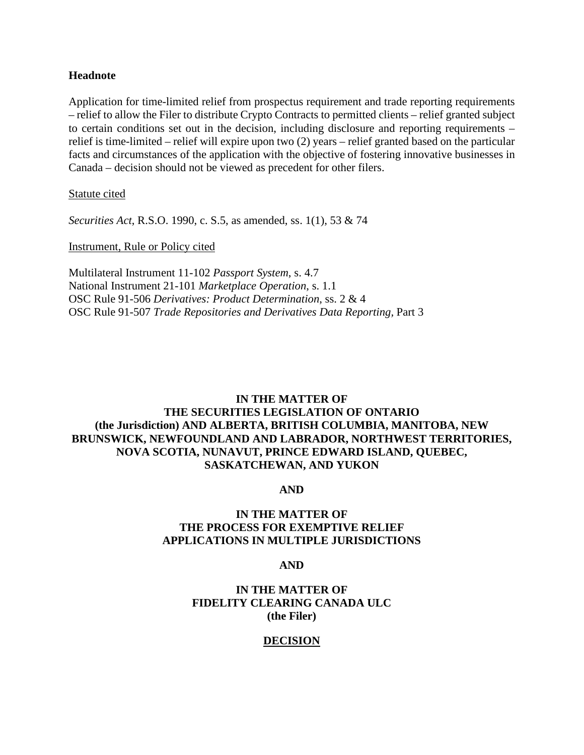#### **Headnote**

Application for time-limited relief from prospectus requirement and trade reporting requirements – relief to allow the Filer to distribute Crypto Contracts to permitted clients – relief granted subject to certain conditions set out in the decision, including disclosure and reporting requirements – relief is time-limited – relief will expire upon two (2) years – relief granted based on the particular facts and circumstances of the application with the objective of fostering innovative businesses in Canada – decision should not be viewed as precedent for other filers.

Statute cited

*Securities Act*, R.S.O. 1990, c. S.5, as amended, ss. 1(1), 53 & 74

Instrument, Rule or Policy cited

Multilateral Instrument 11-102 *Passport System*, s. 4.7 National Instrument 21-101 *Marketplace Operation*, s. 1.1 OSC Rule 91-506 *Derivatives: Product Determination*, ss. 2 & 4 OSC Rule 91-507 *Trade Repositories and Derivatives Data Reporting,* Part 3

# **IN THE MATTER OF THE SECURITIES LEGISLATION OF ONTARIO (the Jurisdiction) AND ALBERTA, BRITISH COLUMBIA, MANITOBA, NEW BRUNSWICK, NEWFOUNDLAND AND LABRADOR, NORTHWEST TERRITORIES, NOVA SCOTIA, NUNAVUT, PRINCE EDWARD ISLAND, QUEBEC, SASKATCHEWAN, AND YUKON**

**AND** 

## **IN THE MATTER OF THE PROCESS FOR EXEMPTIVE RELIEF APPLICATIONS IN MULTIPLE JURISDICTIONS**

**AND** 

### **IN THE MATTER OF FIDELITY CLEARING CANADA ULC (the Filer)**

## **DECISION**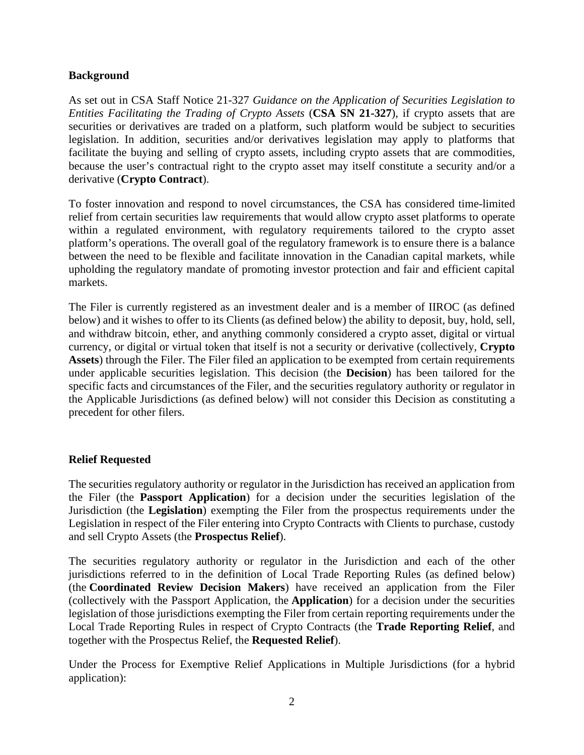### **Background**

As set out in CSA Staff Notice 21-327 *Guidance on the Application of Securities Legislation to Entities Facilitating the Trading of Crypto Assets* (**CSA SN 21-327**), if crypto assets that are securities or derivatives are traded on a platform, such platform would be subject to securities legislation. In addition, securities and/or derivatives legislation may apply to platforms that facilitate the buying and selling of crypto assets, including crypto assets that are commodities, because the user's contractual right to the crypto asset may itself constitute a security and/or a derivative (**Crypto Contract**).

To foster innovation and respond to novel circumstances, the CSA has considered time-limited relief from certain securities law requirements that would allow crypto asset platforms to operate within a regulated environment, with regulatory requirements tailored to the crypto asset platform's operations. The overall goal of the regulatory framework is to ensure there is a balance between the need to be flexible and facilitate innovation in the Canadian capital markets, while upholding the regulatory mandate of promoting investor protection and fair and efficient capital markets.

The Filer is currently registered as an investment dealer and is a member of IIROC (as defined below) and it wishes to offer to its Clients (as defined below) the ability to deposit, buy, hold, sell, and withdraw bitcoin, ether, and anything commonly considered a crypto asset, digital or virtual currency, or digital or virtual token that itself is not a security or derivative (collectively, **Crypto Assets**) through the Filer. The Filer filed an application to be exempted from certain requirements under applicable securities legislation. This decision (the **Decision**) has been tailored for the specific facts and circumstances of the Filer, and the securities regulatory authority or regulator in the Applicable Jurisdictions (as defined below) will not consider this Decision as constituting a precedent for other filers.

## **Relief Requested**

The securities regulatory authority or regulator in the Jurisdiction has received an application from the Filer (the **Passport Application**) for a decision under the securities legislation of the Jurisdiction (the **Legislation**) exempting the Filer from the prospectus requirements under the Legislation in respect of the Filer entering into Crypto Contracts with Clients to purchase, custody and sell Crypto Assets (the **Prospectus Relief**).

The securities regulatory authority or regulator in the Jurisdiction and each of the other jurisdictions referred to in the definition of Local Trade Reporting Rules (as defined below) (the **Coordinated Review Decision Makers**) have received an application from the Filer (collectively with the Passport Application, the **Application**) for a decision under the securities legislation of those jurisdictions exempting the Filer from certain reporting requirements under the Local Trade Reporting Rules in respect of Crypto Contracts (the **Trade Reporting Relief**, and together with the Prospectus Relief, the **Requested Relief**).

Under the Process for Exemptive Relief Applications in Multiple Jurisdictions (for a hybrid application):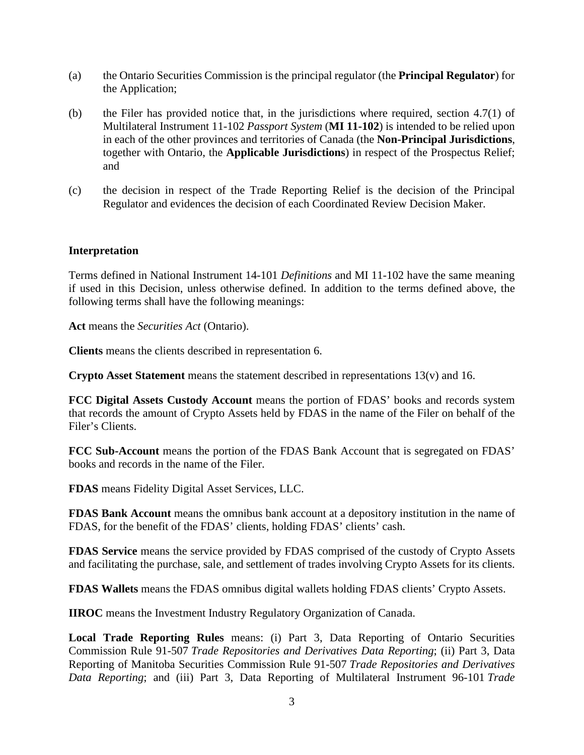- (a) the Ontario Securities Commission is the principal regulator (the **Principal Regulator**) for the Application;
- (b) the Filer has provided notice that, in the jurisdictions where required, section 4.7(1) of Multilateral Instrument 11-102 *Passport System* (**MI 11-102**) is intended to be relied upon in each of the other provinces and territories of Canada (the **Non-Principal Jurisdictions**, together with Ontario, the **Applicable Jurisdictions**) in respect of the Prospectus Relief; and
- (c) the decision in respect of the Trade Reporting Relief is the decision of the Principal Regulator and evidences the decision of each Coordinated Review Decision Maker.

#### **Interpretation**

Terms defined in National Instrument 14-101 *Definitions* and MI 11-102 have the same meaning if used in this Decision, unless otherwise defined. In addition to the terms defined above, the following terms shall have the following meanings:

**Act** means the *Securities Act* (Ontario).

**Clients** means the clients described in representation 6.

**Crypto Asset Statement** means the statement described in representations 13(v) and 16.

**FCC Digital Assets Custody Account** means the portion of FDAS' books and records system that records the amount of Crypto Assets held by FDAS in the name of the Filer on behalf of the Filer's Clients.

**FCC Sub-Account** means the portion of the FDAS Bank Account that is segregated on FDAS' books and records in the name of the Filer.

**FDAS** means Fidelity Digital Asset Services, LLC.

**FDAS Bank Account** means the omnibus bank account at a depository institution in the name of FDAS, for the benefit of the FDAS' clients, holding FDAS' clients' cash.

**FDAS Service** means the service provided by FDAS comprised of the custody of Crypto Assets and facilitating the purchase, sale, and settlement of trades involving Crypto Assets for its clients.

**FDAS Wallets** means the FDAS omnibus digital wallets holding FDAS clients' Crypto Assets.

**IIROC** means the Investment Industry Regulatory Organization of Canada.

**Local Trade Reporting Rules** means: (i) Part 3, Data Reporting of Ontario Securities Commission Rule 91-507 *Trade Repositories and Derivatives Data Reporting*; (ii) Part 3, Data Reporting of Manitoba Securities Commission Rule 91-507 *Trade Repositories and Derivatives Data Reporting*; and (iii) Part 3, Data Reporting of Multilateral Instrument 96-101 *Trade*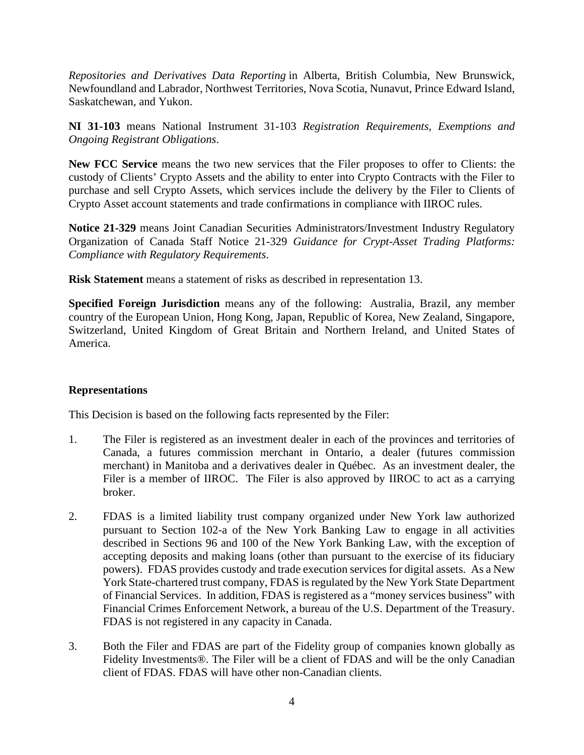*Repositories and Derivatives Data Reporting* in Alberta, British Columbia, New Brunswick, Newfoundland and Labrador, Northwest Territories, Nova Scotia, Nunavut, Prince Edward Island, Saskatchewan, and Yukon.

**NI 31-103** means National Instrument 31-103 *Registration Requirements, Exemptions and Ongoing Registrant Obligations*.

**New FCC Service** means the two new services that the Filer proposes to offer to Clients: the custody of Clients' Crypto Assets and the ability to enter into Crypto Contracts with the Filer to purchase and sell Crypto Assets, which services include the delivery by the Filer to Clients of Crypto Asset account statements and trade confirmations in compliance with IIROC rules.

**Notice 21-329** means Joint Canadian Securities Administrators/Investment Industry Regulatory Organization of Canada Staff Notice 21-329 *Guidance for Crypt-Asset Trading Platforms: Compliance with Regulatory Requirements*.

**Risk Statement** means a statement of risks as described in representation 13.

**Specified Foreign Jurisdiction** means any of the following: Australia, Brazil, any member country of the European Union, Hong Kong, Japan, Republic of Korea, New Zealand, Singapore, Switzerland, United Kingdom of Great Britain and Northern Ireland, and United States of America.

#### **Representations**

This Decision is based on the following facts represented by the Filer:

- 1. The Filer is registered as an investment dealer in each of the provinces and territories of Canada, a futures commission merchant in Ontario, a dealer (futures commission merchant) in Manitoba and a derivatives dealer in Québec. As an investment dealer, the Filer is a member of IIROC. The Filer is also approved by IIROC to act as a carrying broker.
- 2. FDAS is a limited liability trust company organized under New York law authorized pursuant to Section 102-a of the New York Banking Law to engage in all activities described in Sections 96 and 100 of the New York Banking Law, with the exception of accepting deposits and making loans (other than pursuant to the exercise of its fiduciary powers). FDAS provides custody and trade execution services for digital assets. As a New York State-chartered trust company, FDAS is regulated by the New York State Department of Financial Services. In addition, FDAS is registered as a "money services business" with Financial Crimes Enforcement Network, a bureau of the U.S. Department of the Treasury. FDAS is not registered in any capacity in Canada.
- 3. Both the Filer and FDAS are part of the Fidelity group of companies known globally as Fidelity Investments®. The Filer will be a client of FDAS and will be the only Canadian client of FDAS. FDAS will have other non-Canadian clients.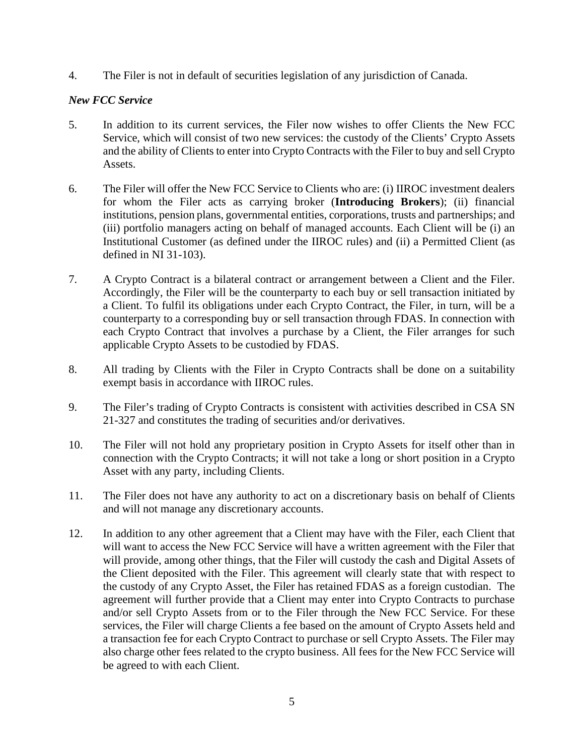4. The Filer is not in default of securities legislation of any jurisdiction of Canada.

### *New FCC Service*

- 5. In addition to its current services, the Filer now wishes to offer Clients the New FCC Service, which will consist of two new services: the custody of the Clients' Crypto Assets and the ability of Clients to enter into Crypto Contracts with the Filer to buy and sell Crypto Assets.
- 6. The Filer will offer the New FCC Service to Clients who are: (i) IIROC investment dealers for whom the Filer acts as carrying broker (**Introducing Brokers**); (ii) financial institutions, pension plans, governmental entities, corporations, trusts and partnerships; and (iii) portfolio managers acting on behalf of managed accounts. Each Client will be (i) an Institutional Customer (as defined under the IIROC rules) and (ii) a Permitted Client (as defined in NI 31-103).
- 7. A Crypto Contract is a bilateral contract or arrangement between a Client and the Filer. Accordingly, the Filer will be the counterparty to each buy or sell transaction initiated by a Client. To fulfil its obligations under each Crypto Contract, the Filer, in turn, will be a counterparty to a corresponding buy or sell transaction through FDAS. In connection with each Crypto Contract that involves a purchase by a Client, the Filer arranges for such applicable Crypto Assets to be custodied by FDAS.
- 8. All trading by Clients with the Filer in Crypto Contracts shall be done on a suitability exempt basis in accordance with IIROC rules.
- 9. The Filer's trading of Crypto Contracts is consistent with activities described in CSA SN 21-327 and constitutes the trading of securities and/or derivatives.
- 10. The Filer will not hold any proprietary position in Crypto Assets for itself other than in connection with the Crypto Contracts; it will not take a long or short position in a Crypto Asset with any party, including Clients.
- 11. The Filer does not have any authority to act on a discretionary basis on behalf of Clients and will not manage any discretionary accounts.
- 12. In addition to any other agreement that a Client may have with the Filer, each Client that will want to access the New FCC Service will have a written agreement with the Filer that will provide, among other things, that the Filer will custody the cash and Digital Assets of the Client deposited with the Filer. This agreement will clearly state that with respect to the custody of any Crypto Asset, the Filer has retained FDAS as a foreign custodian. The agreement will further provide that a Client may enter into Crypto Contracts to purchase and/or sell Crypto Assets from or to the Filer through the New FCC Service. For these services, the Filer will charge Clients a fee based on the amount of Crypto Assets held and a transaction fee for each Crypto Contract to purchase or sell Crypto Assets. The Filer may also charge other fees related to the crypto business. All fees for the New FCC Service will be agreed to with each Client.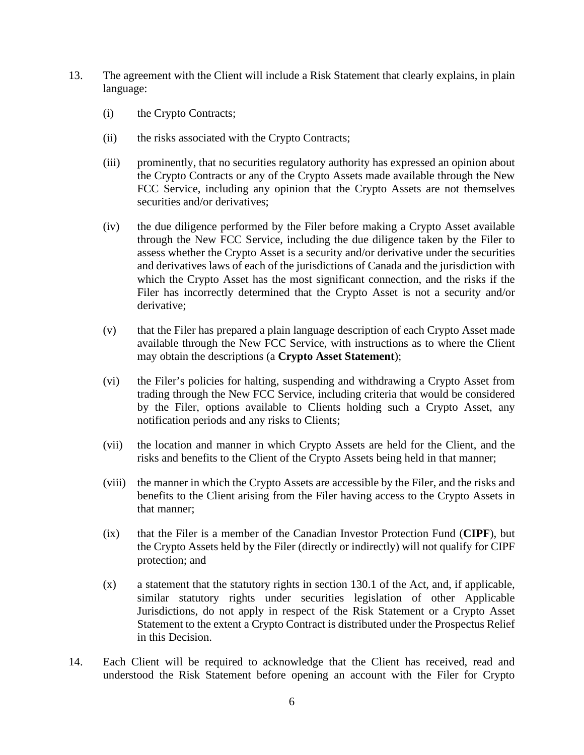- 13. The agreement with the Client will include a Risk Statement that clearly explains, in plain language:
	- (i) the Crypto Contracts;
	- (ii) the risks associated with the Crypto Contracts;
	- (iii) prominently, that no securities regulatory authority has expressed an opinion about the Crypto Contracts or any of the Crypto Assets made available through the New FCC Service, including any opinion that the Crypto Assets are not themselves securities and/or derivatives;
	- (iv) the due diligence performed by the Filer before making a Crypto Asset available through the New FCC Service, including the due diligence taken by the Filer to assess whether the Crypto Asset is a security and/or derivative under the securities and derivatives laws of each of the jurisdictions of Canada and the jurisdiction with which the Crypto Asset has the most significant connection, and the risks if the Filer has incorrectly determined that the Crypto Asset is not a security and/or derivative;
	- (v) that the Filer has prepared a plain language description of each Crypto Asset made available through the New FCC Service, with instructions as to where the Client may obtain the descriptions (a **Crypto Asset Statement**);
	- (vi) the Filer's policies for halting, suspending and withdrawing a Crypto Asset from trading through the New FCC Service, including criteria that would be considered by the Filer, options available to Clients holding such a Crypto Asset, any notification periods and any risks to Clients;
	- (vii) the location and manner in which Crypto Assets are held for the Client, and the risks and benefits to the Client of the Crypto Assets being held in that manner;
	- (viii) the manner in which the Crypto Assets are accessible by the Filer, and the risks and benefits to the Client arising from the Filer having access to the Crypto Assets in that manner;
	- (ix) that the Filer is a member of the Canadian Investor Protection Fund (**CIPF**), but the Crypto Assets held by the Filer (directly or indirectly) will not qualify for CIPF protection; and
	- (x) a statement that the statutory rights in section 130.1 of the Act, and, if applicable, similar statutory rights under securities legislation of other Applicable Jurisdictions, do not apply in respect of the Risk Statement or a Crypto Asset Statement to the extent a Crypto Contract is distributed under the Prospectus Relief in this Decision.
- 14. Each Client will be required to acknowledge that the Client has received, read and understood the Risk Statement before opening an account with the Filer for Crypto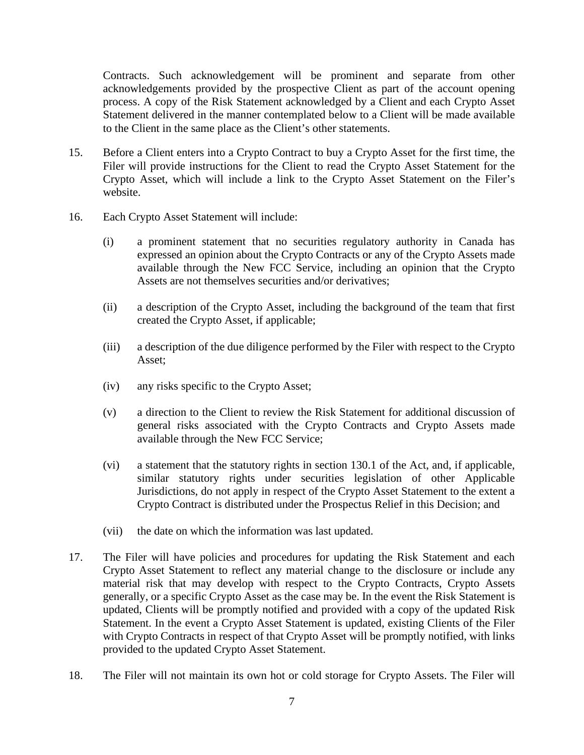Contracts. Such acknowledgement will be prominent and separate from other acknowledgements provided by the prospective Client as part of the account opening process. A copy of the Risk Statement acknowledged by a Client and each Crypto Asset Statement delivered in the manner contemplated below to a Client will be made available to the Client in the same place as the Client's other statements.

- 15. Before a Client enters into a Crypto Contract to buy a Crypto Asset for the first time, the Filer will provide instructions for the Client to read the Crypto Asset Statement for the Crypto Asset, which will include a link to the Crypto Asset Statement on the Filer's website.
- 16. Each Crypto Asset Statement will include:
	- (i) a prominent statement that no securities regulatory authority in Canada has expressed an opinion about the Crypto Contracts or any of the Crypto Assets made available through the New FCC Service, including an opinion that the Crypto Assets are not themselves securities and/or derivatives;
	- (ii) a description of the Crypto Asset, including the background of the team that first created the Crypto Asset, if applicable;
	- (iii) a description of the due diligence performed by the Filer with respect to the Crypto Asset;
	- (iv) any risks specific to the Crypto Asset;
	- (v) a direction to the Client to review the Risk Statement for additional discussion of general risks associated with the Crypto Contracts and Crypto Assets made available through the New FCC Service;
	- (vi) a statement that the statutory rights in section 130.1 of the Act, and, if applicable, similar statutory rights under securities legislation of other Applicable Jurisdictions, do not apply in respect of the Crypto Asset Statement to the extent a Crypto Contract is distributed under the Prospectus Relief in this Decision; and
	- (vii) the date on which the information was last updated.
- 17. The Filer will have policies and procedures for updating the Risk Statement and each Crypto Asset Statement to reflect any material change to the disclosure or include any material risk that may develop with respect to the Crypto Contracts, Crypto Assets generally, or a specific Crypto Asset as the case may be. In the event the Risk Statement is updated, Clients will be promptly notified and provided with a copy of the updated Risk Statement. In the event a Crypto Asset Statement is updated, existing Clients of the Filer with Crypto Contracts in respect of that Crypto Asset will be promptly notified, with links provided to the updated Crypto Asset Statement.
- 18. The Filer will not maintain its own hot or cold storage for Crypto Assets. The Filer will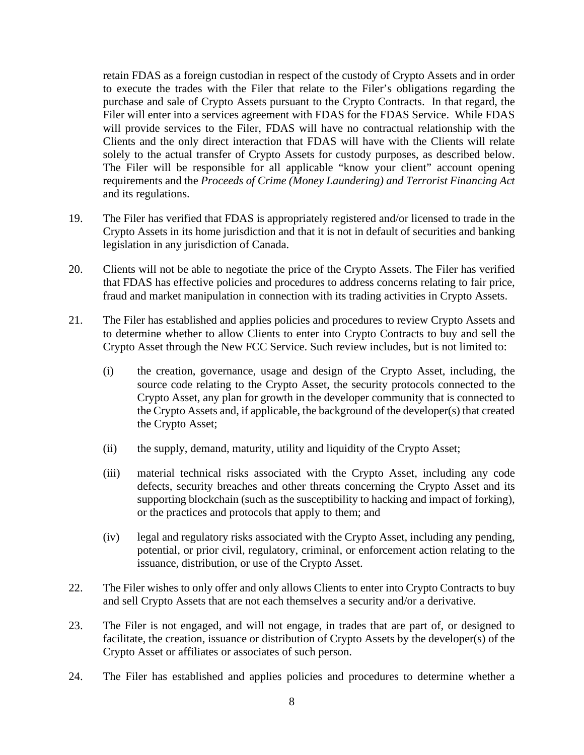retain FDAS as a foreign custodian in respect of the custody of Crypto Assets and in order to execute the trades with the Filer that relate to the Filer's obligations regarding the purchase and sale of Crypto Assets pursuant to the Crypto Contracts. In that regard, the Filer will enter into a services agreement with FDAS for the FDAS Service. While FDAS will provide services to the Filer, FDAS will have no contractual relationship with the Clients and the only direct interaction that FDAS will have with the Clients will relate solely to the actual transfer of Crypto Assets for custody purposes, as described below. The Filer will be responsible for all applicable "know your client" account opening requirements and the *Proceeds of Crime (Money Laundering) and Terrorist Financing Act*  and its regulations.

- 19. The Filer has verified that FDAS is appropriately registered and/or licensed to trade in the Crypto Assets in its home jurisdiction and that it is not in default of securities and banking legislation in any jurisdiction of Canada.
- 20. Clients will not be able to negotiate the price of the Crypto Assets. The Filer has verified that FDAS has effective policies and procedures to address concerns relating to fair price, fraud and market manipulation in connection with its trading activities in Crypto Assets.
- 21. The Filer has established and applies policies and procedures to review Crypto Assets and to determine whether to allow Clients to enter into Crypto Contracts to buy and sell the Crypto Asset through the New FCC Service. Such review includes, but is not limited to:
	- (i) the creation, governance, usage and design of the Crypto Asset, including, the source code relating to the Crypto Asset, the security protocols connected to the Crypto Asset, any plan for growth in the developer community that is connected to the Crypto Assets and, if applicable, the background of the developer(s) that created the Crypto Asset;
	- (ii) the supply, demand, maturity, utility and liquidity of the Crypto Asset;
	- (iii) material technical risks associated with the Crypto Asset, including any code defects, security breaches and other threats concerning the Crypto Asset and its supporting blockchain (such as the susceptibility to hacking and impact of forking), or the practices and protocols that apply to them; and
	- (iv) legal and regulatory risks associated with the Crypto Asset, including any pending, potential, or prior civil, regulatory, criminal, or enforcement action relating to the issuance, distribution, or use of the Crypto Asset.
- 22. The Filer wishes to only offer and only allows Clients to enter into Crypto Contracts to buy and sell Crypto Assets that are not each themselves a security and/or a derivative.
- 23. The Filer is not engaged, and will not engage, in trades that are part of, or designed to facilitate, the creation, issuance or distribution of Crypto Assets by the developer(s) of the Crypto Asset or affiliates or associates of such person.
- 24. The Filer has established and applies policies and procedures to determine whether a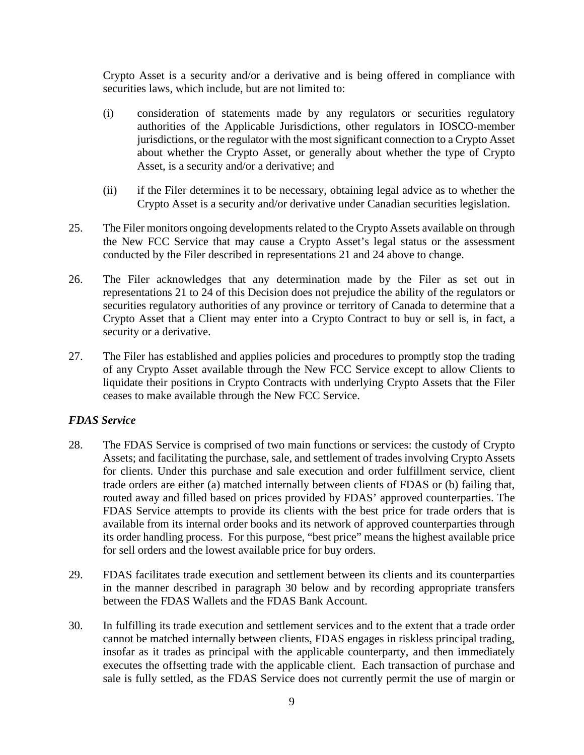Crypto Asset is a security and/or a derivative and is being offered in compliance with securities laws, which include, but are not limited to:

- (i) consideration of statements made by any regulators or securities regulatory authorities of the Applicable Jurisdictions, other regulators in IOSCO-member jurisdictions, or the regulator with the most significant connection to a Crypto Asset about whether the Crypto Asset, or generally about whether the type of Crypto Asset, is a security and/or a derivative; and
- (ii) if the Filer determines it to be necessary, obtaining legal advice as to whether the Crypto Asset is a security and/or derivative under Canadian securities legislation.
- 25. The Filer monitors ongoing developments related to the Crypto Assets available on through the New FCC Service that may cause a Crypto Asset's legal status or the assessment conducted by the Filer described in representations 21 and 24 above to change.
- 26. The Filer acknowledges that any determination made by the Filer as set out in representations 21 to 24 of this Decision does not prejudice the ability of the regulators or securities regulatory authorities of any province or territory of Canada to determine that a Crypto Asset that a Client may enter into a Crypto Contract to buy or sell is, in fact, a security or a derivative.
- 27. The Filer has established and applies policies and procedures to promptly stop the trading of any Crypto Asset available through the New FCC Service except to allow Clients to liquidate their positions in Crypto Contracts with underlying Crypto Assets that the Filer ceases to make available through the New FCC Service.

#### *FDAS Service*

- 28. The FDAS Service is comprised of two main functions or services: the custody of Crypto Assets; and facilitating the purchase, sale, and settlement of trades involving Crypto Assets for clients. Under this purchase and sale execution and order fulfillment service, client trade orders are either (a) matched internally between clients of FDAS or (b) failing that, routed away and filled based on prices provided by FDAS' approved counterparties. The FDAS Service attempts to provide its clients with the best price for trade orders that is available from its internal order books and its network of approved counterparties through its order handling process. For this purpose, "best price" means the highest available price for sell orders and the lowest available price for buy orders.
- 29. FDAS facilitates trade execution and settlement between its clients and its counterparties in the manner described in paragraph 30 below and by recording appropriate transfers between the FDAS Wallets and the FDAS Bank Account.
- 30. In fulfilling its trade execution and settlement services and to the extent that a trade order cannot be matched internally between clients, FDAS engages in riskless principal trading, insofar as it trades as principal with the applicable counterparty, and then immediately executes the offsetting trade with the applicable client. Each transaction of purchase and sale is fully settled, as the FDAS Service does not currently permit the use of margin or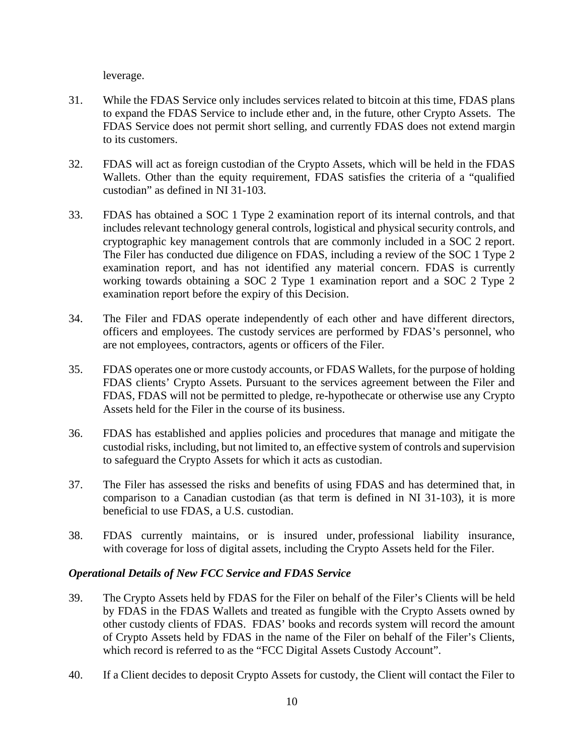leverage.

- 31. While the FDAS Service only includes services related to bitcoin at this time, FDAS plans to expand the FDAS Service to include ether and, in the future, other Crypto Assets. The FDAS Service does not permit short selling, and currently FDAS does not extend margin to its customers.
- 32. FDAS will act as foreign custodian of the Crypto Assets, which will be held in the FDAS Wallets. Other than the equity requirement, FDAS satisfies the criteria of a "qualified custodian" as defined in NI 31-103.
- 33. FDAS has obtained a SOC 1 Type 2 examination report of its internal controls, and that includes relevant technology general controls, logistical and physical security controls, and cryptographic key management controls that are commonly included in a SOC 2 report. The Filer has conducted due diligence on FDAS, including a review of the SOC 1 Type 2 examination report, and has not identified any material concern. FDAS is currently working towards obtaining a SOC 2 Type 1 examination report and a SOC 2 Type 2 examination report before the expiry of this Decision.
- 34. The Filer and FDAS operate independently of each other and have different directors, officers and employees. The custody services are performed by FDAS's personnel, who are not employees, contractors, agents or officers of the Filer.
- 35. FDAS operates one or more custody accounts, or FDAS Wallets, for the purpose of holding FDAS clients' Crypto Assets. Pursuant to the services agreement between the Filer and FDAS, FDAS will not be permitted to pledge, re-hypothecate or otherwise use any Crypto Assets held for the Filer in the course of its business.
- 36. FDAS has established and applies policies and procedures that manage and mitigate the custodial risks, including, but not limited to, an effective system of controls and supervision to safeguard the Crypto Assets for which it acts as custodian.
- 37. The Filer has assessed the risks and benefits of using FDAS and has determined that, in comparison to a Canadian custodian (as that term is defined in NI 31-103), it is more beneficial to use FDAS, a U.S. custodian.
- 38. FDAS currently maintains, or is insured under, professional liability insurance, with coverage for loss of digital assets, including the Crypto Assets held for the Filer.

## *Operational Details of New FCC Service and FDAS Service*

- 39. The Crypto Assets held by FDAS for the Filer on behalf of the Filer's Clients will be held by FDAS in the FDAS Wallets and treated as fungible with the Crypto Assets owned by other custody clients of FDAS. FDAS' books and records system will record the amount of Crypto Assets held by FDAS in the name of the Filer on behalf of the Filer's Clients, which record is referred to as the "FCC Digital Assets Custody Account".
- 40. If a Client decides to deposit Crypto Assets for custody, the Client will contact the Filer to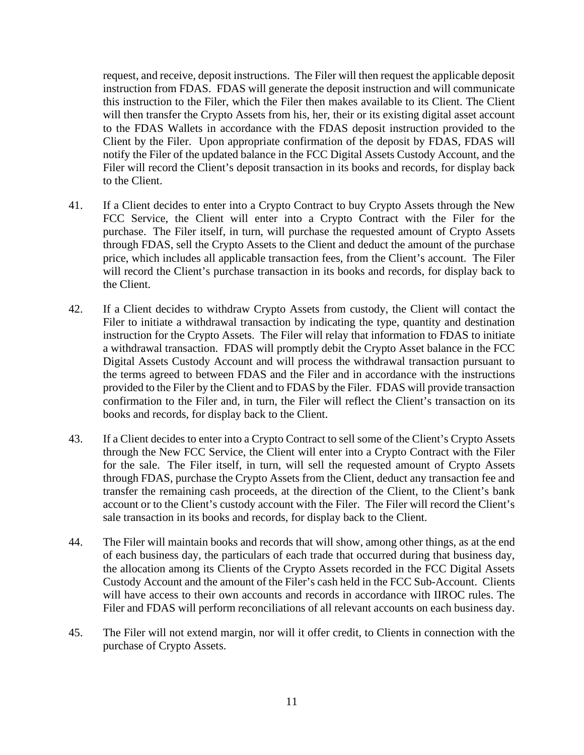request, and receive, deposit instructions. The Filer will then request the applicable deposit instruction from FDAS. FDAS will generate the deposit instruction and will communicate this instruction to the Filer, which the Filer then makes available to its Client. The Client will then transfer the Crypto Assets from his, her, their or its existing digital asset account to the FDAS Wallets in accordance with the FDAS deposit instruction provided to the Client by the Filer. Upon appropriate confirmation of the deposit by FDAS, FDAS will notify the Filer of the updated balance in the FCC Digital Assets Custody Account, and the Filer will record the Client's deposit transaction in its books and records, for display back to the Client.

- 41. If a Client decides to enter into a Crypto Contract to buy Crypto Assets through the New FCC Service, the Client will enter into a Crypto Contract with the Filer for the purchase. The Filer itself, in turn, will purchase the requested amount of Crypto Assets through FDAS, sell the Crypto Assets to the Client and deduct the amount of the purchase price, which includes all applicable transaction fees, from the Client's account. The Filer will record the Client's purchase transaction in its books and records, for display back to the Client.
- 42. If a Client decides to withdraw Crypto Assets from custody, the Client will contact the Filer to initiate a withdrawal transaction by indicating the type, quantity and destination instruction for the Crypto Assets. The Filer will relay that information to FDAS to initiate a withdrawal transaction. FDAS will promptly debit the Crypto Asset balance in the FCC Digital Assets Custody Account and will process the withdrawal transaction pursuant to the terms agreed to between FDAS and the Filer and in accordance with the instructions provided to the Filer by the Client and to FDAS by the Filer. FDAS will provide transaction confirmation to the Filer and, in turn, the Filer will reflect the Client's transaction on its books and records, for display back to the Client.
- 43. If a Client decides to enter into a Crypto Contract to sell some of the Client's Crypto Assets through the New FCC Service, the Client will enter into a Crypto Contract with the Filer for the sale. The Filer itself, in turn, will sell the requested amount of Crypto Assets through FDAS, purchase the Crypto Assets from the Client, deduct any transaction fee and transfer the remaining cash proceeds, at the direction of the Client, to the Client's bank account or to the Client's custody account with the Filer. The Filer will record the Client's sale transaction in its books and records, for display back to the Client.
- 44. The Filer will maintain books and records that will show, among other things, as at the end of each business day, the particulars of each trade that occurred during that business day, the allocation among its Clients of the Crypto Assets recorded in the FCC Digital Assets Custody Account and the amount of the Filer's cash held in the FCC Sub-Account. Clients will have access to their own accounts and records in accordance with IIROC rules. The Filer and FDAS will perform reconciliations of all relevant accounts on each business day.
- 45. The Filer will not extend margin, nor will it offer credit, to Clients in connection with the purchase of Crypto Assets.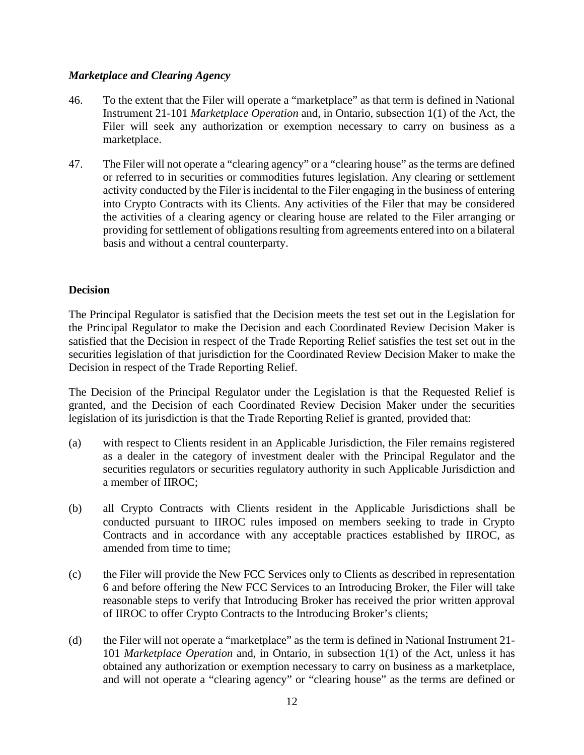### *Marketplace and Clearing Agency*

- 46. To the extent that the Filer will operate a "marketplace" as that term is defined in National Instrument 21-101 *Marketplace Operation* and, in Ontario, subsection 1(1) of the Act, the Filer will seek any authorization or exemption necessary to carry on business as a marketplace.
- 47. The Filer will not operate a "clearing agency" or a "clearing house" as the terms are defined or referred to in securities or commodities futures legislation. Any clearing or settlement activity conducted by the Filer is incidental to the Filer engaging in the business of entering into Crypto Contracts with its Clients. Any activities of the Filer that may be considered the activities of a clearing agency or clearing house are related to the Filer arranging or providing for settlement of obligations resulting from agreements entered into on a bilateral basis and without a central counterparty.

### **Decision**

The Principal Regulator is satisfied that the Decision meets the test set out in the Legislation for the Principal Regulator to make the Decision and each Coordinated Review Decision Maker is satisfied that the Decision in respect of the Trade Reporting Relief satisfies the test set out in the securities legislation of that jurisdiction for the Coordinated Review Decision Maker to make the Decision in respect of the Trade Reporting Relief.

The Decision of the Principal Regulator under the Legislation is that the Requested Relief is granted, and the Decision of each Coordinated Review Decision Maker under the securities legislation of its jurisdiction is that the Trade Reporting Relief is granted, provided that:

- (a) with respect to Clients resident in an Applicable Jurisdiction, the Filer remains registered as a dealer in the category of investment dealer with the Principal Regulator and the securities regulators or securities regulatory authority in such Applicable Jurisdiction and a member of IIROC;
- (b) all Crypto Contracts with Clients resident in the Applicable Jurisdictions shall be conducted pursuant to IIROC rules imposed on members seeking to trade in Crypto Contracts and in accordance with any acceptable practices established by IIROC, as amended from time to time;
- (c) the Filer will provide the New FCC Services only to Clients as described in representation 6 and before offering the New FCC Services to an Introducing Broker, the Filer will take reasonable steps to verify that Introducing Broker has received the prior written approval of IIROC to offer Crypto Contracts to the Introducing Broker's clients;
- (d) the Filer will not operate a "marketplace" as the term is defined in National Instrument 21- 101 *Marketplace Operation* and, in Ontario, in subsection 1(1) of the Act, unless it has obtained any authorization or exemption necessary to carry on business as a marketplace, and will not operate a "clearing agency" or "clearing house" as the terms are defined or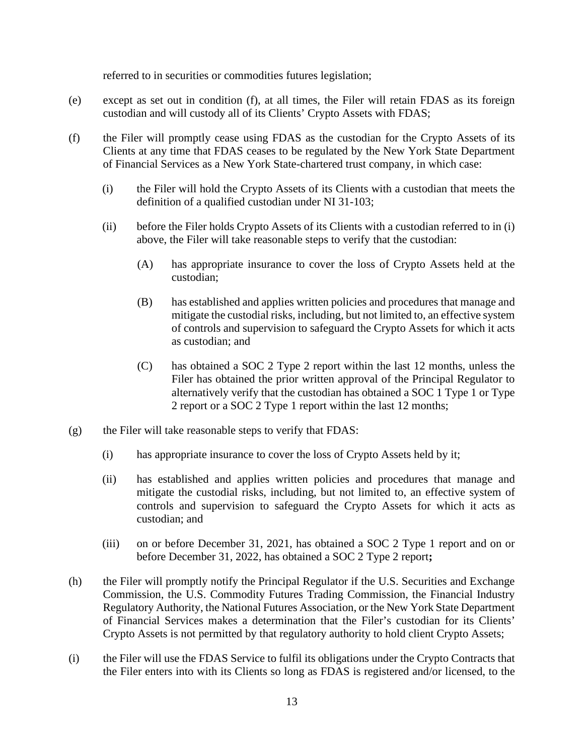referred to in securities or commodities futures legislation;

- (e) except as set out in condition (f), at all times, the Filer will retain FDAS as its foreign custodian and will custody all of its Clients' Crypto Assets with FDAS;
- (f) the Filer will promptly cease using FDAS as the custodian for the Crypto Assets of its Clients at any time that FDAS ceases to be regulated by the New York State Department of Financial Services as a New York State-chartered trust company, in which case:
	- (i) the Filer will hold the Crypto Assets of its Clients with a custodian that meets the definition of a qualified custodian under NI 31-103;
	- (ii) before the Filer holds Crypto Assets of its Clients with a custodian referred to in (i) above, the Filer will take reasonable steps to verify that the custodian:
		- (A) has appropriate insurance to cover the loss of Crypto Assets held at the custodian;
		- (B) has established and applies written policies and procedures that manage and mitigate the custodial risks, including, but not limited to, an effective system of controls and supervision to safeguard the Crypto Assets for which it acts as custodian; and
		- (C) has obtained a SOC 2 Type 2 report within the last 12 months, unless the Filer has obtained the prior written approval of the Principal Regulator to alternatively verify that the custodian has obtained a SOC 1 Type 1 or Type 2 report or a SOC 2 Type 1 report within the last 12 months;
- (g) the Filer will take reasonable steps to verify that FDAS:
	- (i) has appropriate insurance to cover the loss of Crypto Assets held by it;
	- (ii) has established and applies written policies and procedures that manage and mitigate the custodial risks, including, but not limited to, an effective system of controls and supervision to safeguard the Crypto Assets for which it acts as custodian; and
	- (iii) on or before December 31, 2021, has obtained a SOC 2 Type 1 report and on or before December 31, 2022, has obtained a SOC 2 Type 2 report**;**
- (h) the Filer will promptly notify the Principal Regulator if the U.S. Securities and Exchange Commission, the U.S. Commodity Futures Trading Commission, the Financial Industry Regulatory Authority, the National Futures Association, or the New York State Department of Financial Services makes a determination that the Filer's custodian for its Clients' Crypto Assets is not permitted by that regulatory authority to hold client Crypto Assets;
- (i) the Filer will use the FDAS Service to fulfil its obligations under the Crypto Contracts that the Filer enters into with its Clients so long as FDAS is registered and/or licensed, to the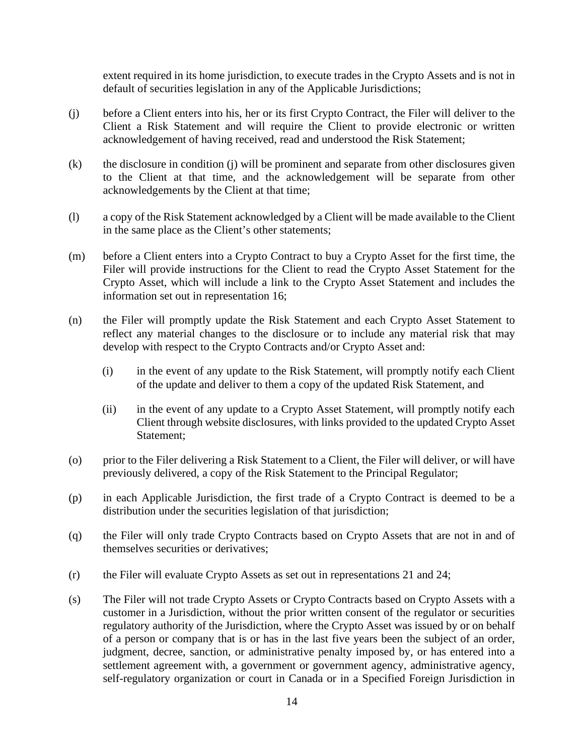extent required in its home jurisdiction, to execute trades in the Crypto Assets and is not in default of securities legislation in any of the Applicable Jurisdictions;

- (j) before a Client enters into his, her or its first Crypto Contract, the Filer will deliver to the Client a Risk Statement and will require the Client to provide electronic or written acknowledgement of having received, read and understood the Risk Statement;
- (k) the disclosure in condition (j) will be prominent and separate from other disclosures given to the Client at that time, and the acknowledgement will be separate from other acknowledgements by the Client at that time;
- (l) a copy of the Risk Statement acknowledged by a Client will be made available to the Client in the same place as the Client's other statements;
- (m) before a Client enters into a Crypto Contract to buy a Crypto Asset for the first time, the Filer will provide instructions for the Client to read the Crypto Asset Statement for the Crypto Asset, which will include a link to the Crypto Asset Statement and includes the information set out in representation 16;
- (n) the Filer will promptly update the Risk Statement and each Crypto Asset Statement to reflect any material changes to the disclosure or to include any material risk that may develop with respect to the Crypto Contracts and/or Crypto Asset and:
	- (i) in the event of any update to the Risk Statement, will promptly notify each Client of the update and deliver to them a copy of the updated Risk Statement, and
	- (ii) in the event of any update to a Crypto Asset Statement, will promptly notify each Client through website disclosures, with links provided to the updated Crypto Asset Statement;
- (o) prior to the Filer delivering a Risk Statement to a Client, the Filer will deliver, or will have previously delivered, a copy of the Risk Statement to the Principal Regulator;
- (p) in each Applicable Jurisdiction, the first trade of a Crypto Contract is deemed to be a distribution under the securities legislation of that jurisdiction;
- (q) the Filer will only trade Crypto Contracts based on Crypto Assets that are not in and of themselves securities or derivatives;
- (r) the Filer will evaluate Crypto Assets as set out in representations 21 and 24;
- (s) The Filer will not trade Crypto Assets or Crypto Contracts based on Crypto Assets with a customer in a Jurisdiction, without the prior written consent of the regulator or securities regulatory authority of the Jurisdiction, where the Crypto Asset was issued by or on behalf of a person or company that is or has in the last five years been the subject of an order, judgment, decree, sanction, or administrative penalty imposed by, or has entered into a settlement agreement with, a government or government agency, administrative agency, self-regulatory organization or court in Canada or in a Specified Foreign Jurisdiction in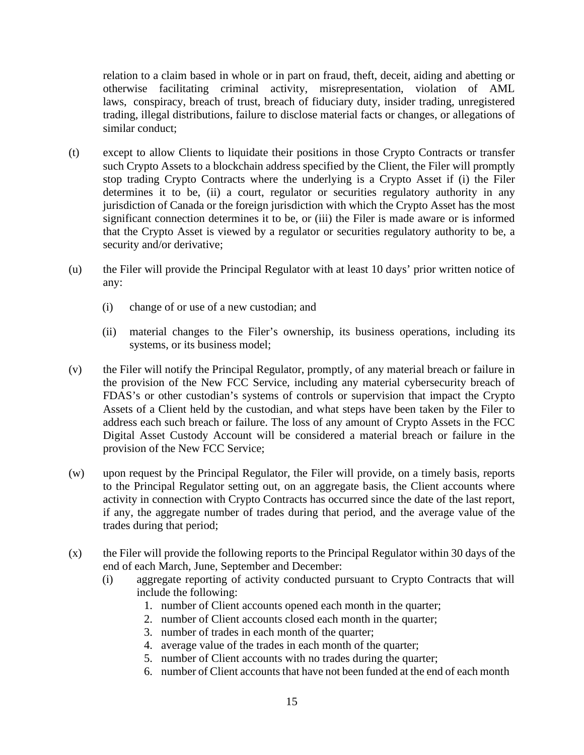relation to a claim based in whole or in part on fraud, theft, deceit, aiding and abetting or otherwise facilitating criminal activity, misrepresentation, violation of AML laws, conspiracy, breach of trust, breach of fiduciary duty, insider trading, unregistered trading, illegal distributions, failure to disclose material facts or changes, or allegations of similar conduct;

- (t) except to allow Clients to liquidate their positions in those Crypto Contracts or transfer such Crypto Assets to a blockchain address specified by the Client, the Filer will promptly stop trading Crypto Contracts where the underlying is a Crypto Asset if (i) the Filer determines it to be, (ii) a court, regulator or securities regulatory authority in any jurisdiction of Canada or the foreign jurisdiction with which the Crypto Asset has the most significant connection determines it to be, or (iii) the Filer is made aware or is informed that the Crypto Asset is viewed by a regulator or securities regulatory authority to be, a security and/or derivative;
- (u) the Filer will provide the Principal Regulator with at least 10 days' prior written notice of any:
	- (i) change of or use of a new custodian; and
	- (ii) material changes to the Filer's ownership, its business operations, including its systems, or its business model;
- (v) the Filer will notify the Principal Regulator, promptly, of any material breach or failure in the provision of the New FCC Service, including any material cybersecurity breach of FDAS's or other custodian's systems of controls or supervision that impact the Crypto Assets of a Client held by the custodian, and what steps have been taken by the Filer to address each such breach or failure. The loss of any amount of Crypto Assets in the FCC Digital Asset Custody Account will be considered a material breach or failure in the provision of the New FCC Service;
- (w) upon request by the Principal Regulator, the Filer will provide, on a timely basis, reports to the Principal Regulator setting out, on an aggregate basis, the Client accounts where activity in connection with Crypto Contracts has occurred since the date of the last report, if any, the aggregate number of trades during that period, and the average value of the trades during that period;
- (x) the Filer will provide the following reports to the Principal Regulator within 30 days of the end of each March, June, September and December:
	- (i) aggregate reporting of activity conducted pursuant to Crypto Contracts that will include the following:
		- 1. number of Client accounts opened each month in the quarter;
		- 2. number of Client accounts closed each month in the quarter;
		- 3. number of trades in each month of the quarter;
		- 4. average value of the trades in each month of the quarter;
		- 5. number of Client accounts with no trades during the quarter;
		- 6. number of Client accounts that have not been funded at the end of each month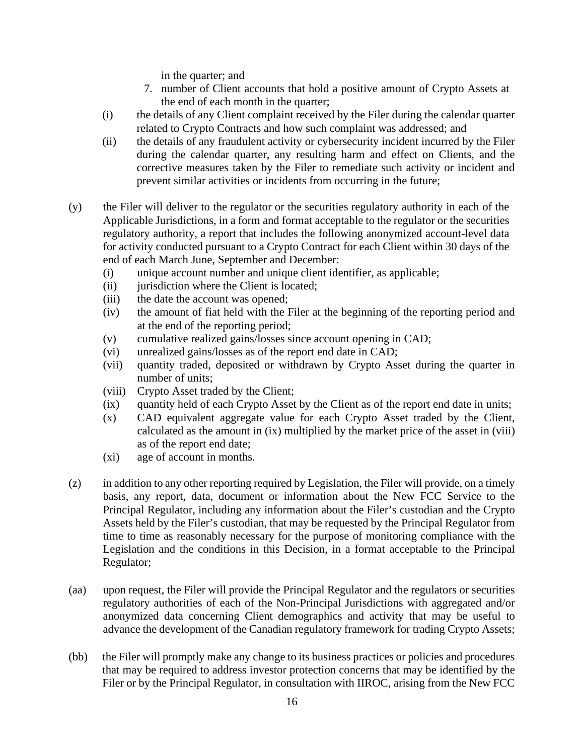in the quarter; and

- 7. number of Client accounts that hold a positive amount of Crypto Assets at the end of each month in the quarter;
- (i) the details of any Client complaint received by the Filer during the calendar quarter related to Crypto Contracts and how such complaint was addressed; and
- (ii) the details of any fraudulent activity or cybersecurity incident incurred by the Filer during the calendar quarter, any resulting harm and effect on Clients, and the corrective measures taken by the Filer to remediate such activity or incident and prevent similar activities or incidents from occurring in the future;
- (y) the Filer will deliver to the regulator or the securities regulatory authority in each of the Applicable Jurisdictions, in a form and format acceptable to the regulator or the securities regulatory authority, a report that includes the following anonymized account-level data for activity conducted pursuant to a Crypto Contract for each Client within 30 days of the end of each March June, September and December:
	- (i) unique account number and unique client identifier, as applicable;
	- (ii) jurisdiction where the Client is located;
	- (iii) the date the account was opened;
	- (iv) the amount of fiat held with the Filer at the beginning of the reporting period and at the end of the reporting period;
	- (v) cumulative realized gains/losses since account opening in CAD;
	- (vi) unrealized gains/losses as of the report end date in CAD;
	- (vii) quantity traded, deposited or withdrawn by Crypto Asset during the quarter in number of units;
	- (viii) Crypto Asset traded by the Client;
	- (ix) quantity held of each Crypto Asset by the Client as of the report end date in units;
	- (x) CAD equivalent aggregate value for each Crypto Asset traded by the Client, calculated as the amount in (ix) multiplied by the market price of the asset in (viii) as of the report end date;
	- (xi) age of account in months.
- (z) in addition to any other reporting required by Legislation, the Filer will provide, on a timely basis, any report, data, document or information about the New FCC Service to the Principal Regulator, including any information about the Filer's custodian and the Crypto Assets held by the Filer's custodian, that may be requested by the Principal Regulator from time to time as reasonably necessary for the purpose of monitoring compliance with the Legislation and the conditions in this Decision, in a format acceptable to the Principal Regulator;
- (aa) upon request, the Filer will provide the Principal Regulator and the regulators or securities regulatory authorities of each of the Non-Principal Jurisdictions with aggregated and/or anonymized data concerning Client demographics and activity that may be useful to advance the development of the Canadian regulatory framework for trading Crypto Assets;
- (bb) the Filer will promptly make any change to its business practices or policies and procedures that may be required to address investor protection concerns that may be identified by the Filer or by the Principal Regulator, in consultation with IIROC, arising from the New FCC